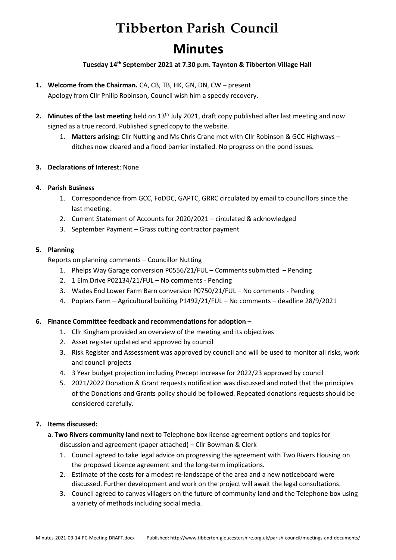# **Tibberton Parish Council Minutes**

## **Tuesday 14th September 2021 at 7.30 p.m. Taynton & Tibberton Village Hall**

- **1. Welcome from the Chairman.** CA, CB, TB, HK, GN, DN, CW present Apology from Cllr Philip Robinson, Council wish him a speedy recovery.
- **2.** Minutes of the last meeting held on 13<sup>th</sup> July 2021, draft copy published after last meeting and now signed as a true record. Published signed copy to the website.
	- 1. **Matters arising:** Cllr Nutting and Ms Chris Crane met with Cllr Robinson & GCC Highways ditches now cleared and a flood barrier installed. No progress on the pond issues.

### **3. Declarations of Interest**: None

### **4. Parish Business**

- 1. Correspondence from GCC, FoDDC, GAPTC, GRRC circulated by email to councillors since the last meeting.
- 2. Current Statement of Accounts for 2020/2021 circulated & acknowledged
- 3. September Payment Grass cutting contractor payment

### **5. Planning**

Reports on planning comments – Councillor Nutting

- 1. Phelps Way Garage conversion P0556/21/FUL Comments submitted Pending
- 2. 1 Elm Drive P02134/21/FUL No comments Pending
- 3. Wades End Lower Farm Barn conversion P0750/21/FUL No comments Pending
- 4. Poplars Farm Agricultural building P1492/21/FUL No comments deadline 28/9/2021

#### **6. Finance Committee feedback and recommendations for adoption** –

- 1. Cllr Kingham provided an overview of the meeting and its objectives
- 2. Asset register updated and approved by council
- 3. Risk Register and Assessment was approved by council and will be used to monitor all risks, work and council projects
- 4. 3 Year budget projection including Precept increase for 2022/23 approved by council
- 5. 2021/2022 Donation & Grant requests notification was discussed and noted that the principles of the Donations and Grants policy should be followed. Repeated donations requests should be considered carefully.

# **7. Items discussed:**

- a. **Two Rivers community land** next to Telephone box license agreement options and topics for discussion and agreement (paper attached) – Cllr Bowman & Clerk
	- 1. Council agreed to take legal advice on progressing the agreement with Two Rivers Housing on the proposed Licence agreement and the long-term implications.
	- 2. Estimate of the costs for a modest re-landscape of the area and a new noticeboard were discussed. Further development and work on the project will await the legal consultations.
	- 3. Council agreed to canvas villagers on the future of community land and the Telephone box using a variety of methods including social media.